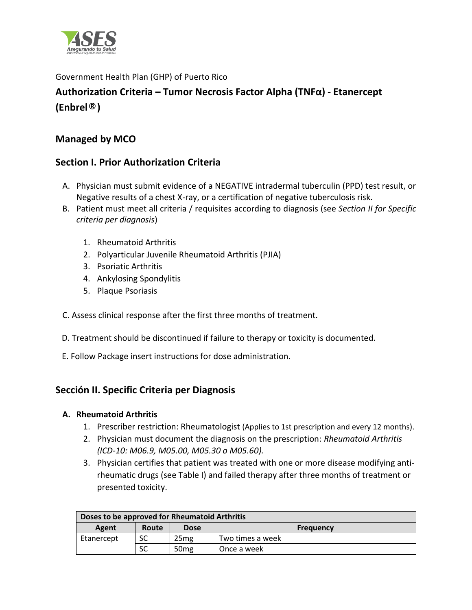

Government Health Plan (GHP) of Puerto Rico

# **Authorization Criteria – Tumor Necrosis Factor Alpha (TNFα) - Etanercept (Enbrel®)**

## **Managed by MCO**

## **Section I. Prior Authorization Criteria**

- A. Physician must submit evidence of a NEGATIVE intradermal tuberculin (PPD) test result, or Negative results of a chest X-ray, or a certification of negative tuberculosis risk.
- B. Patient must meet all criteria / requisites according to diagnosis (see *Section II for Specific criteria per diagnosis*)
	- 1. Rheumatoid Arthritis
	- 2. Polyarticular Juvenile Rheumatoid Arthritis (PJIA)
	- 3. Psoriatic Arthritis
	- 4. Ankylosing Spondylitis
	- 5. Plaque Psoriasis
- C. Assess clinical response after the first three months of treatment.
- D. Treatment should be discontinued if failure to therapy or toxicity is documented.
- E. Follow Package insert instructions for dose administration.

# **Sección II. Specific Criteria per Diagnosis**

### **A. Rheumatoid Arthritis**

- 1. Prescriber restriction: Rheumatologist (Applies to 1st prescription and every 12 months).
- 2. Physician must document the diagnosis on the prescription: *Rheumatoid Arthritis (ICD-10: M06.9, M05.00, M05.30 o M05.60).*
- 3. Physician certifies that patient was treated with one or more disease modifying antirheumatic drugs (see Table I) and failed therapy after three months of treatment or presented toxicity.

| Doses to be approved for Rheumatoid Arthritis |       |                  |                  |  |
|-----------------------------------------------|-------|------------------|------------------|--|
| Agent                                         | Route | Dose             | <b>Frequency</b> |  |
| Etanercept                                    | SC    | 25 <sub>mg</sub> | Two times a week |  |
|                                               | SC    | 50 <sub>mg</sub> | Once a week      |  |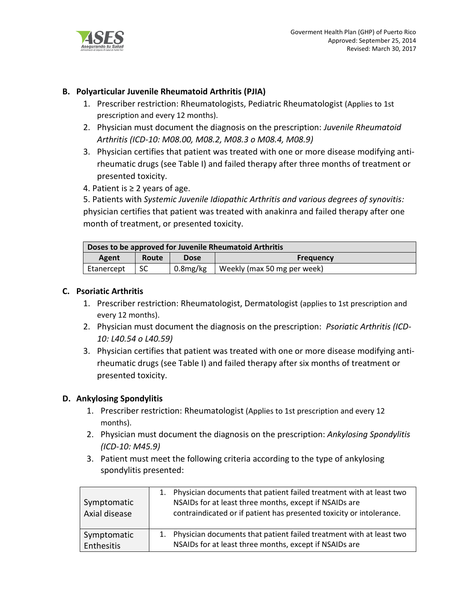

### **B. Polyarticular Juvenile Rheumatoid Arthritis (PJIA)**

- 1. Prescriber restriction: Rheumatologists, Pediatric Rheumatologist (Applies to 1st prescription and every 12 months).
- 2. Physician must document the diagnosis on the prescription: *Juvenile Rheumatoid Arthritis (ICD-10: M08.00, M08.2, M08.3 o M08.4, M08.9)*
- 3. Physician certifies that patient was treated with one or more disease modifying antirheumatic drugs (see Table I) and failed therapy after three months of treatment or presented toxicity.
- 4. Patient is  $≥$  2 years of age.

5. Patients with *Systemic Juvenile Idiopathic Arthritis and various degrees of synovitis:*  physician certifies that patient was treated with anakinra and failed therapy after one month of treatment, or presented toxicity.

| Doses to be approved for Juvenile Rheumatoid Arthritis |       |             |                             |  |
|--------------------------------------------------------|-------|-------------|-----------------------------|--|
| Agent                                                  | Route | <b>Dose</b> | <b>Frequency</b>            |  |
| Etanercept                                             |       | 0.8mg/kg    | Weekly (max 50 mg per week) |  |

#### **C. Psoriatic Arthritis**

- 1. Prescriber restriction: Rheumatologist, Dermatologist (applies to 1st prescription and every 12 months).
- 2. Physician must document the diagnosis on the prescription: *Psoriatic Arthritis (ICD-10: L40.54 o L40.59)*
- 3. Physician certifies that patient was treated with one or more disease modifying antirheumatic drugs (see Table I) and failed therapy after six months of treatment or presented toxicity.

#### **D. Ankylosing Spondylitis**

- 1. Prescriber restriction: Rheumatologist (Applies to 1st prescription and every 12 months).
- 2. Physician must document the diagnosis on the prescription: *Ankylosing Spondylitis (ICD-10: M45.9)*
- 3. Patient must meet the following criteria according to the type of ankylosing spondylitis presented:

| Symptomatic<br>Axial disease | Physician documents that patient failed treatment with at least two<br>1.<br>NSAIDs for at least three months, except if NSAIDs are<br>contraindicated or if patient has presented toxicity or intolerance. |
|------------------------------|-------------------------------------------------------------------------------------------------------------------------------------------------------------------------------------------------------------|
| Symptomatic                  | 1. Physician documents that patient failed treatment with at least two                                                                                                                                      |
| Enthesitis                   | NSAIDs for at least three months, except if NSAIDs are                                                                                                                                                      |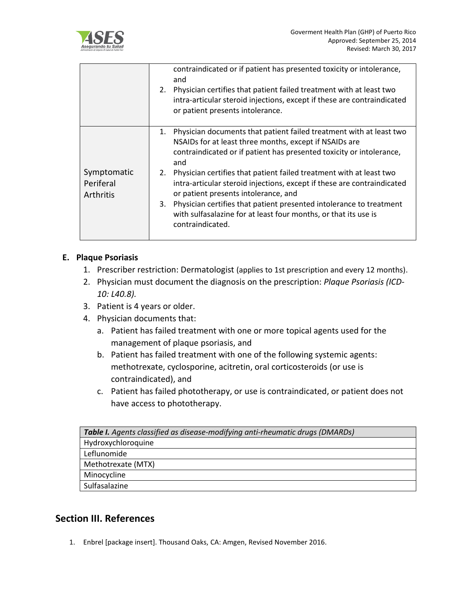

|                                       | contraindicated or if patient has presented toxicity or intolerance,<br>and<br>Physician certifies that patient failed treatment with at least two<br>2.<br>intra-articular steroid injections, except if these are contraindicated<br>or patient presents intolerance.                                                                                                                                                                                                                                                                                                                |
|---------------------------------------|----------------------------------------------------------------------------------------------------------------------------------------------------------------------------------------------------------------------------------------------------------------------------------------------------------------------------------------------------------------------------------------------------------------------------------------------------------------------------------------------------------------------------------------------------------------------------------------|
| Symptomatic<br>Periferal<br>Arthritis | Physician documents that patient failed treatment with at least two<br>1.<br>NSAIDs for at least three months, except if NSAIDs are<br>contraindicated or if patient has presented toxicity or intolerance,<br>and<br>Physician certifies that patient failed treatment with at least two<br>2.<br>intra-articular steroid injections, except if these are contraindicated<br>or patient presents intolerance, and<br>Physician certifies that patient presented intolerance to treatment<br>3.<br>with sulfasalazine for at least four months, or that its use is<br>contraindicated. |

#### **E. Plaque Psoriasis**

- 1. Prescriber restriction: Dermatologist (applies to 1st prescription and every 12 months).
- 2. Physician must document the diagnosis on the prescription: *Plaque Psoriasis (ICD-10: L40.8).*
- 3. Patient is 4 years or older.
- 4. Physician documents that:
	- a. Patient has failed treatment with one or more topical agents used for the management of plaque psoriasis, and
	- b. Patient has failed treatment with one of the following systemic agents: methotrexate, cyclosporine, acitretin, oral corticosteroids (or use is contraindicated), and
	- c. Patient has failed phototherapy, or use is contraindicated, or patient does not have access to phototherapy.

| Table I. Agents classified as disease-modifying anti-rheumatic drugs (DMARDs) |  |
|-------------------------------------------------------------------------------|--|
| Hydroxychloroquine                                                            |  |
| Leflunomide                                                                   |  |
| Methotrexate (MTX)                                                            |  |
| Minocycline                                                                   |  |
| Sulfasalazine                                                                 |  |

### **Section III. References**

1. Enbrel [package insert]. Thousand Oaks, CA: Amgen, Revised November 2016.